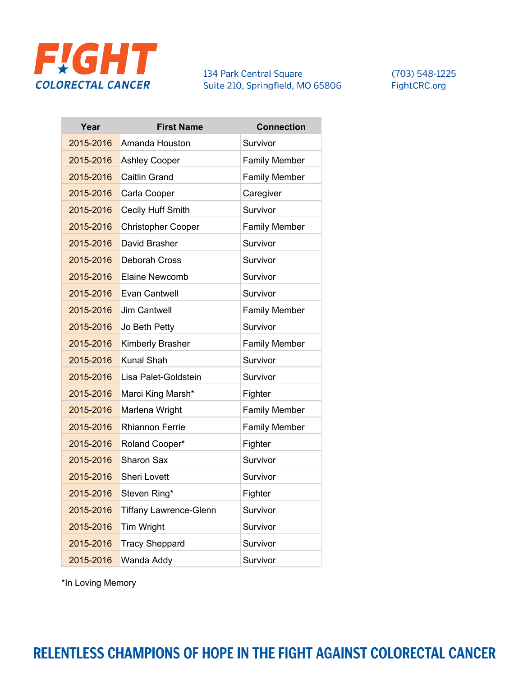

 $(703) 548 - 1225$ FightCRC.org

| Year      | <b>First Name</b>             | <b>Connection</b>    |
|-----------|-------------------------------|----------------------|
| 2015-2016 | Amanda Houston                | Survivor             |
| 2015-2016 | <b>Ashley Cooper</b>          | <b>Family Member</b> |
| 2015-2016 | <b>Caitlin Grand</b>          | <b>Family Member</b> |
| 2015-2016 | Carla Cooper                  | Caregiver            |
| 2015-2016 | Cecily Huff Smith             | Survivor             |
| 2015-2016 | <b>Christopher Cooper</b>     | <b>Family Member</b> |
| 2015-2016 | David Brasher                 | Survivor             |
| 2015-2016 | <b>Deborah Cross</b>          | Survivor             |
| 2015-2016 | Elaine Newcomb                | Survivor             |
| 2015-2016 | Evan Cantwell                 | Survivor             |
| 2015-2016 | <b>Jim Cantwell</b>           | <b>Family Member</b> |
| 2015-2016 | Jo Beth Petty                 | Survivor             |
| 2015-2016 | Kimberly Brasher              | <b>Family Member</b> |
| 2015-2016 | <b>Kunal Shah</b>             | Survivor             |
| 2015-2016 | Lisa Palet-Goldstein          | Survivor             |
| 2015-2016 | Marci King Marsh*             | Fighter              |
| 2015-2016 | Marlena Wright                | <b>Family Member</b> |
| 2015-2016 | <b>Rhiannon Ferrie</b>        | <b>Family Member</b> |
| 2015-2016 | Roland Cooper*                | Fighter              |
| 2015-2016 | Sharon Sax                    | Survivor             |
| 2015-2016 | <b>Sheri Lovett</b>           | Survivor             |
| 2015-2016 | Steven Ring*                  | Fighter              |
| 2015-2016 | <b>Tiffany Lawrence-Glenn</b> | Survivor             |
| 2015-2016 | Tim Wright                    | Survivor             |
| 2015-2016 | <b>Tracy Sheppard</b>         | Survivor             |
| 2015-2016 | Wanda Addy                    | Survivor             |

RELENTLESS CHAMPIONS OF HOPE IN THE FIGHT AGAINST COLORECTAL CANCER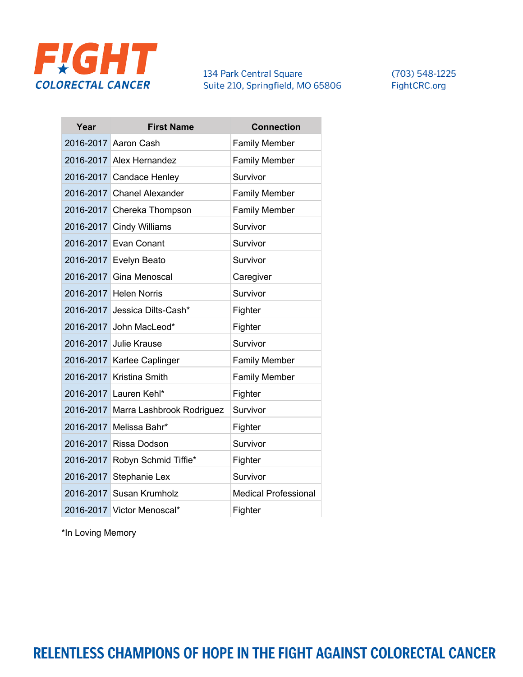

 $(703) 548 - 1225$ FightCRC.org

| Year | <b>First Name</b>                   | <b>Connection</b>           |
|------|-------------------------------------|-----------------------------|
|      | 2016-2017 Aaron Cash                | <b>Family Member</b>        |
|      | 2016-2017 Alex Hernandez            | <b>Family Member</b>        |
|      | 2016-2017 Candace Henley            | Survivor                    |
|      | 2016-2017 Chanel Alexander          | <b>Family Member</b>        |
|      | 2016-2017 Chereka Thompson          | <b>Family Member</b>        |
|      | 2016-2017 Cindy Williams            | Survivor                    |
|      | 2016-2017 Evan Conant               | Survivor                    |
|      | 2016-2017 Evelyn Beato              | Survivor                    |
|      | 2016-2017 Gina Menoscal             | Caregiver                   |
|      | 2016-2017 Helen Norris              | Survivor                    |
|      | 2016-2017 Jessica Dilts-Cash*       | Fighter                     |
|      | 2016-2017 John MacLeod*             | Fighter                     |
|      | 2016-2017 Julie Krause              | Survivor                    |
|      | 2016-2017 Karlee Caplinger          | <b>Family Member</b>        |
|      | 2016-2017 Kristina Smith            | <b>Family Member</b>        |
|      | 2016-2017 Lauren Kehl*              | Fighter                     |
|      | 2016-2017 Marra Lashbrook Rodriguez | Survivor                    |
|      | 2016-2017 Melissa Bahr*             | Fighter                     |
|      | 2016-2017 Rissa Dodson              | Survivor                    |
|      | 2016-2017 Robyn Schmid Tiffie*      | Fighter                     |
|      | 2016-2017 Stephanie Lex             | Survivor                    |
|      | 2016-2017 Susan Krumholz            | <b>Medical Professional</b> |
|      | 2016-2017 Victor Menoscal*          | Fighter                     |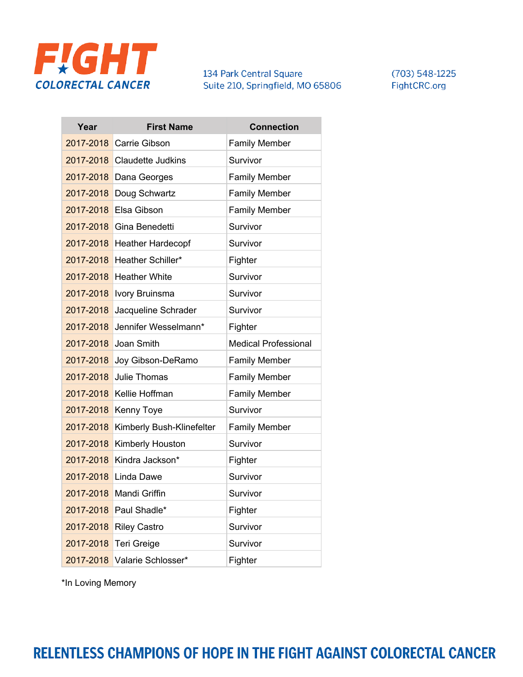

 $(703) 548 - 1225$ FightCRC.org

| Year      | <b>First Name</b>           | <b>Connection</b>           |
|-----------|-----------------------------|-----------------------------|
|           | 2017-2018 Carrie Gibson     | <b>Family Member</b>        |
|           | 2017-2018 Claudette Judkins | Survivor                    |
| 2017-2018 | Dana Georges                | <b>Family Member</b>        |
| 2017-2018 | Doug Schwartz               | <b>Family Member</b>        |
| 2017-2018 | <b>Elsa Gibson</b>          | <b>Family Member</b>        |
| 2017-2018 | Gina Benedetti              | Survivor                    |
| 2017-2018 | <b>Heather Hardecopf</b>    | Survivor                    |
| 2017-2018 | Heather Schiller*           | Fighter                     |
| 2017-2018 | <b>Heather White</b>        | Survivor                    |
| 2017-2018 | <b>Ivory Bruinsma</b>       | Survivor                    |
| 2017-2018 | Jacqueline Schrader         | Survivor                    |
| 2017-2018 | Jennifer Wesselmann*        | Fighter                     |
| 2017-2018 | Joan Smith                  | <b>Medical Professional</b> |
| 2017-2018 | Joy Gibson-DeRamo           | <b>Family Member</b>        |
| 2017-2018 | Julie Thomas                | <b>Family Member</b>        |
| 2017-2018 | <b>Kellie Hoffman</b>       | <b>Family Member</b>        |
| 2017-2018 | Kenny Toye                  | Survivor                    |
| 2017-2018 | Kimberly Bush-Klinefelter   | <b>Family Member</b>        |
| 2017-2018 | Kimberly Houston            | Survivor                    |
| 2017-2018 | Kindra Jackson*             | Fighter                     |
|           | 2017-2018 Linda Dawe        | Survivor                    |
|           | 2017-2018 Mandi Griffin     | Survivor                    |
| 2017-2018 | Paul Shadle*                | Fighter                     |
| 2017-2018 | <b>Riley Castro</b>         | Survivor                    |
| 2017-2018 | Teri Greige                 | Survivor                    |
| 2017-2018 | Valarie Schlosser*          | Fighter                     |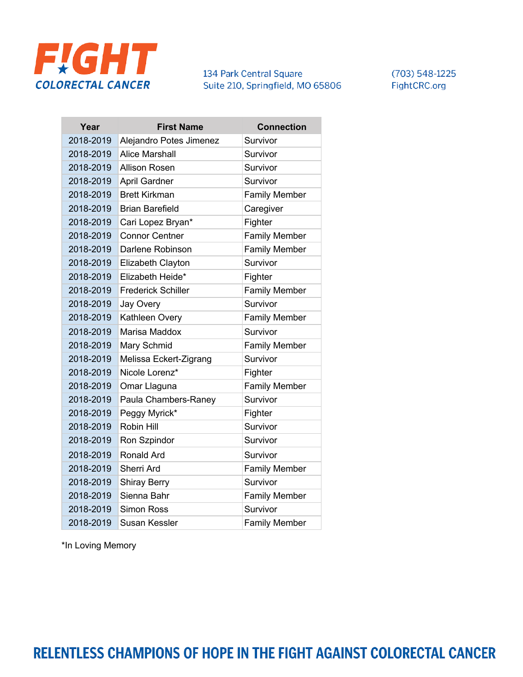

 $(703) 548 - 1225$ FightCRC.org

| Year      | <b>First Name</b>         | <b>Connection</b>    |
|-----------|---------------------------|----------------------|
| 2018-2019 | Alejandro Potes Jimenez   | Survivor             |
| 2018-2019 | <b>Alice Marshall</b>     | Survivor             |
| 2018-2019 | <b>Allison Rosen</b>      | Survivor             |
| 2018-2019 | April Gardner             | Survivor             |
| 2018-2019 | <b>Brett Kirkman</b>      | <b>Family Member</b> |
| 2018-2019 | <b>Brian Barefield</b>    | Caregiver            |
| 2018-2019 | Cari Lopez Bryan*         | Fighter              |
| 2018-2019 | <b>Connor Centner</b>     | <b>Family Member</b> |
| 2018-2019 | Darlene Robinson          | <b>Family Member</b> |
| 2018-2019 | Elizabeth Clayton         | Survivor             |
| 2018-2019 | Elizabeth Heide*          | Fighter              |
| 2018-2019 | <b>Frederick Schiller</b> | <b>Family Member</b> |
| 2018-2019 | Jay Overy                 | Survivor             |
| 2018-2019 | Kathleen Overy            | <b>Family Member</b> |
| 2018-2019 | Marisa Maddox             | Survivor             |
| 2018-2019 | Mary Schmid               | <b>Family Member</b> |
| 2018-2019 | Melissa Eckert-Zigrang    | Survivor             |
| 2018-2019 | Nicole Lorenz*            | Fighter              |
| 2018-2019 | Omar Llaguna              | <b>Family Member</b> |
| 2018-2019 | Paula Chambers-Raney      | Survivor             |
| 2018-2019 | Peggy Myrick*             | Fighter              |
| 2018-2019 | Robin Hill                | Survivor             |
| 2018-2019 | Ron Szpindor              | Survivor             |
| 2018-2019 | Ronald Ard                | Survivor             |
| 2018-2019 | Sherri Ard                | <b>Family Member</b> |
| 2018-2019 | <b>Shiray Berry</b>       | Survivor             |
| 2018-2019 | Sienna Bahr               | <b>Family Member</b> |
| 2018-2019 | <b>Simon Ross</b>         | Survivor             |
| 2018-2019 | Susan Kessler             | <b>Family Member</b> |

\*In Loving Memory

RELENTLESS CHAMPIONS OF HOPE IN THE FIGHT AGAINST COLORECTAL CANCER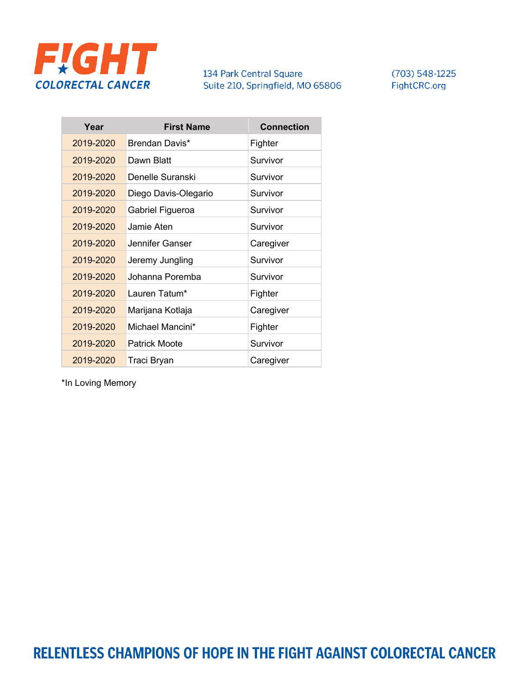

 $(703) 548 - 1225$ FightCRC.org

| 2019-2020<br>Brendan Davis*<br>Fighter<br>2019-2020<br>Dawn Blatt<br>Survivor<br>2019-2020<br>Denelle Suranski<br>Survivor<br>2019-2020<br>Diego Davis-Olegario<br>Survivor<br>2019-2020<br>Survivor<br>Gabriel Figueroa<br>2019-2020<br>Jamie Aten<br>Survivor<br>Jennifer Ganser<br>2019-2020<br>Caregiver<br>2019-2020<br>Survivor<br>Jeremy Jungling<br>2019-2020<br>Johanna Poremba<br>Survivor<br>2019-2020<br>Lauren Tatum*<br>Fighter<br>2019-2020<br>Marijana Kotlaja<br>Caregiver<br>Michael Mancini*<br>2019-2020<br>Fighter<br>2019-2020<br><b>Patrick Moote</b><br>Survivor<br>2019-2020<br>Traci Bryan<br>Caregiver | Year | <b>First Name</b> | <b>Connection</b> |
|-----------------------------------------------------------------------------------------------------------------------------------------------------------------------------------------------------------------------------------------------------------------------------------------------------------------------------------------------------------------------------------------------------------------------------------------------------------------------------------------------------------------------------------------------------------------------------------------------------------------------------------|------|-------------------|-------------------|
|                                                                                                                                                                                                                                                                                                                                                                                                                                                                                                                                                                                                                                   |      |                   |                   |
|                                                                                                                                                                                                                                                                                                                                                                                                                                                                                                                                                                                                                                   |      |                   |                   |
|                                                                                                                                                                                                                                                                                                                                                                                                                                                                                                                                                                                                                                   |      |                   |                   |
|                                                                                                                                                                                                                                                                                                                                                                                                                                                                                                                                                                                                                                   |      |                   |                   |
|                                                                                                                                                                                                                                                                                                                                                                                                                                                                                                                                                                                                                                   |      |                   |                   |
|                                                                                                                                                                                                                                                                                                                                                                                                                                                                                                                                                                                                                                   |      |                   |                   |
|                                                                                                                                                                                                                                                                                                                                                                                                                                                                                                                                                                                                                                   |      |                   |                   |
|                                                                                                                                                                                                                                                                                                                                                                                                                                                                                                                                                                                                                                   |      |                   |                   |
|                                                                                                                                                                                                                                                                                                                                                                                                                                                                                                                                                                                                                                   |      |                   |                   |
|                                                                                                                                                                                                                                                                                                                                                                                                                                                                                                                                                                                                                                   |      |                   |                   |
|                                                                                                                                                                                                                                                                                                                                                                                                                                                                                                                                                                                                                                   |      |                   |                   |
|                                                                                                                                                                                                                                                                                                                                                                                                                                                                                                                                                                                                                                   |      |                   |                   |
|                                                                                                                                                                                                                                                                                                                                                                                                                                                                                                                                                                                                                                   |      |                   |                   |
|                                                                                                                                                                                                                                                                                                                                                                                                                                                                                                                                                                                                                                   |      |                   |                   |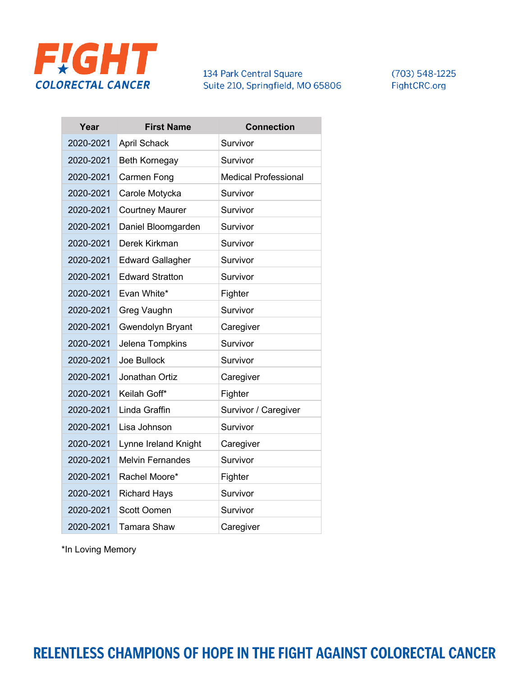

 $(703) 548 - 1225$ FightCRC.org

| Year      | <b>First Name</b>       | <b>Connection</b>           |
|-----------|-------------------------|-----------------------------|
| 2020-2021 | <b>April Schack</b>     | Survivor                    |
| 2020-2021 | <b>Beth Kornegay</b>    | Survivor                    |
| 2020-2021 | Carmen Fong             | <b>Medical Professional</b> |
| 2020-2021 | Carole Motycka          | Survivor                    |
| 2020-2021 | <b>Courtney Maurer</b>  | Survivor                    |
| 2020-2021 | Daniel Bloomgarden      | Survivor                    |
| 2020-2021 | Derek Kirkman           | Survivor                    |
| 2020-2021 | <b>Edward Gallagher</b> | Survivor                    |
| 2020-2021 | <b>Edward Stratton</b>  | Survivor                    |
| 2020-2021 | Evan White*             | Fighter                     |
| 2020-2021 | Greg Vaughn             | Survivor                    |
| 2020-2021 | Gwendolyn Bryant        | Caregiver                   |
| 2020-2021 | Jelena Tompkins         | Survivor                    |
| 2020-2021 | Joe Bullock             | Survivor                    |
| 2020-2021 | Jonathan Ortiz          | Caregiver                   |
| 2020-2021 | Keilah Goff*            | Fighter                     |
| 2020-2021 | Linda Graffin           | Survivor / Caregiver        |
| 2020-2021 | Lisa Johnson            | Survivor                    |
| 2020-2021 | Lynne Ireland Knight    | Caregiver                   |
| 2020-2021 | <b>Melvin Fernandes</b> | Survivor                    |
| 2020-2021 | Rachel Moore*           | Fighter                     |
| 2020-2021 | <b>Richard Hays</b>     | Survivor                    |
| 2020-2021 | Scott Oomen             | Survivor                    |
| 2020-2021 | <b>Tamara Shaw</b>      | Caregiver                   |